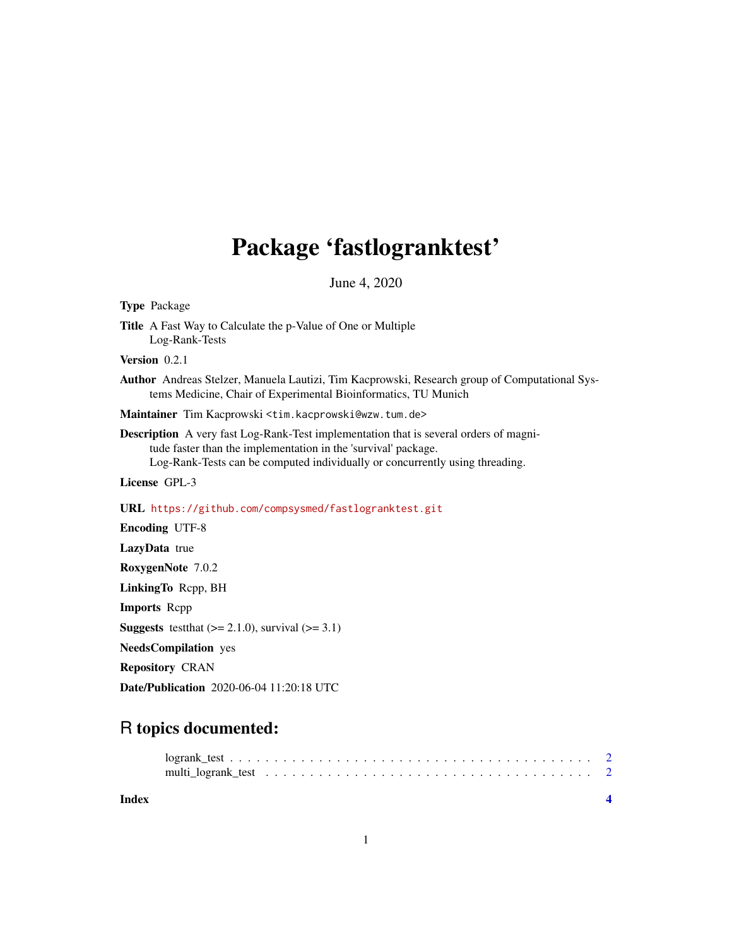## Package 'fastlogranktest'

June 4, 2020

| <b>Type Package</b>                                                                                                                                                                                                                            |
|------------------------------------------------------------------------------------------------------------------------------------------------------------------------------------------------------------------------------------------------|
| <b>Title</b> A Fast Way to Calculate the p-Value of One or Multiple<br>Log-Rank-Tests                                                                                                                                                          |
| Version $0.2.1$                                                                                                                                                                                                                                |
| Author Andreas Stelzer, Manuela Lautizi, Tim Kacprowski, Research group of Computational Sys-<br>tems Medicine, Chair of Experimental Bioinformatics, TU Munich                                                                                |
| Maintainer Tim Kacprowski <tim.kacprowski@wzw.tum.de></tim.kacprowski@wzw.tum.de>                                                                                                                                                              |
| <b>Description</b> A very fast Log-Rank-Test implementation that is several orders of magni-<br>tude faster than the implementation in the 'survival' package.<br>Log-Rank-Tests can be computed individually or concurrently using threading. |
| License GPL-3                                                                                                                                                                                                                                  |
| URL https://github.com/compsysmed/fastlogranktest.git                                                                                                                                                                                          |
| <b>Encoding UTF-8</b>                                                                                                                                                                                                                          |
| LazyData true                                                                                                                                                                                                                                  |
| RoxygenNote 7.0.2                                                                                                                                                                                                                              |
| LinkingTo Repp, BH                                                                                                                                                                                                                             |
| <b>Imports</b> Repp                                                                                                                                                                                                                            |
| <b>Suggests</b> test that $(>= 2.1.0)$ , survival $(>= 3.1)$                                                                                                                                                                                   |
| <b>NeedsCompilation</b> yes                                                                                                                                                                                                                    |
| <b>Repository CRAN</b>                                                                                                                                                                                                                         |

Date/Publication 2020-06-04 11:20:18 UTC

### R topics documented:

**Index** [4](#page-3-0)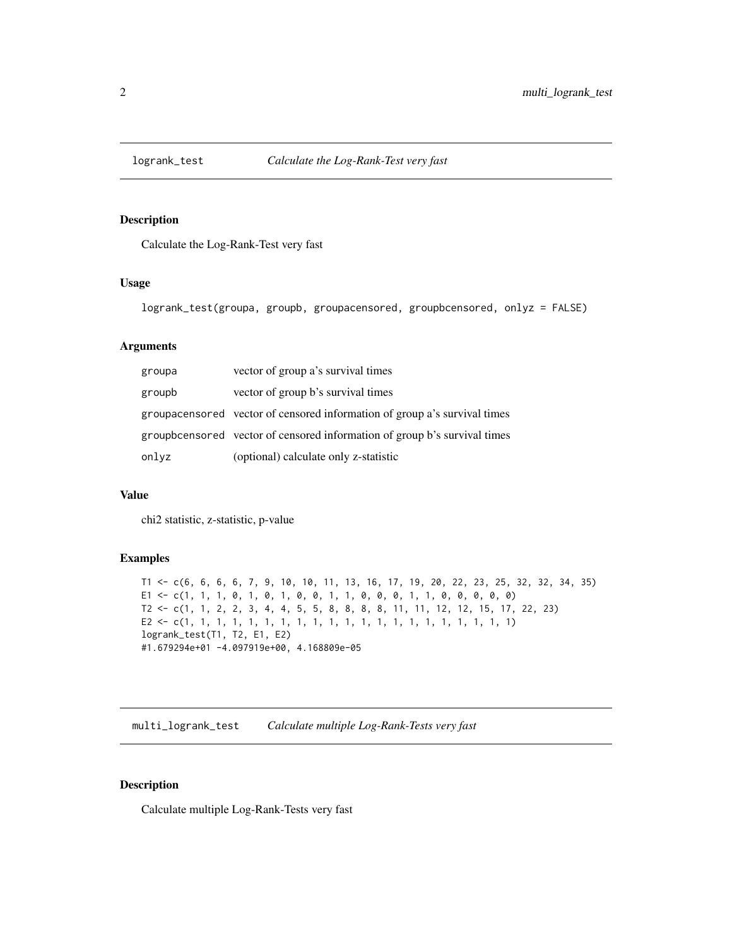<span id="page-1-0"></span>

#### Description

Calculate the Log-Rank-Test very fast

#### Usage

logrank\_test(groupa, groupb, groupacensored, groupbcensored, onlyz = FALSE)

#### Arguments

| groupa | vector of group a's survival times                                        |
|--------|---------------------------------------------------------------------------|
| groupb | vector of group b's survival times                                        |
|        | groupacensored vector of censored information of group a's survival times |
|        | groupbcensored vector of censored information of group b's survival times |
| onlyz  | (optional) calculate only z-statistic                                     |

#### Value

chi2 statistic, z-statistic, p-value

#### Examples

```
T1 <- c(6, 6, 6, 6, 7, 9, 10, 10, 11, 13, 16, 17, 19, 20, 22, 23, 25, 32, 32, 34, 35)
E1 <- c(1, 1, 1, 0, 1, 0, 1, 0, 0, 1, 1, 0, 0, 0, 1, 1, 0, 0, 0, 0, 0)
T2 <- c(1, 1, 2, 2, 3, 4, 4, 5, 5, 8, 8, 8, 8, 11, 11, 12, 12, 15, 17, 22, 23)
E2 <- c(1, 1, 1, 1, 1, 1, 1, 1, 1, 1, 1, 1, 1, 1, 1, 1, 1, 1, 1, 1, 1)
logrank_test(T1, T2, E1, E2)
#1.679294e+01 -4.097919e+00, 4.168809e-05
```
multi\_logrank\_test *Calculate multiple Log-Rank-Tests very fast*

#### Description

Calculate multiple Log-Rank-Tests very fast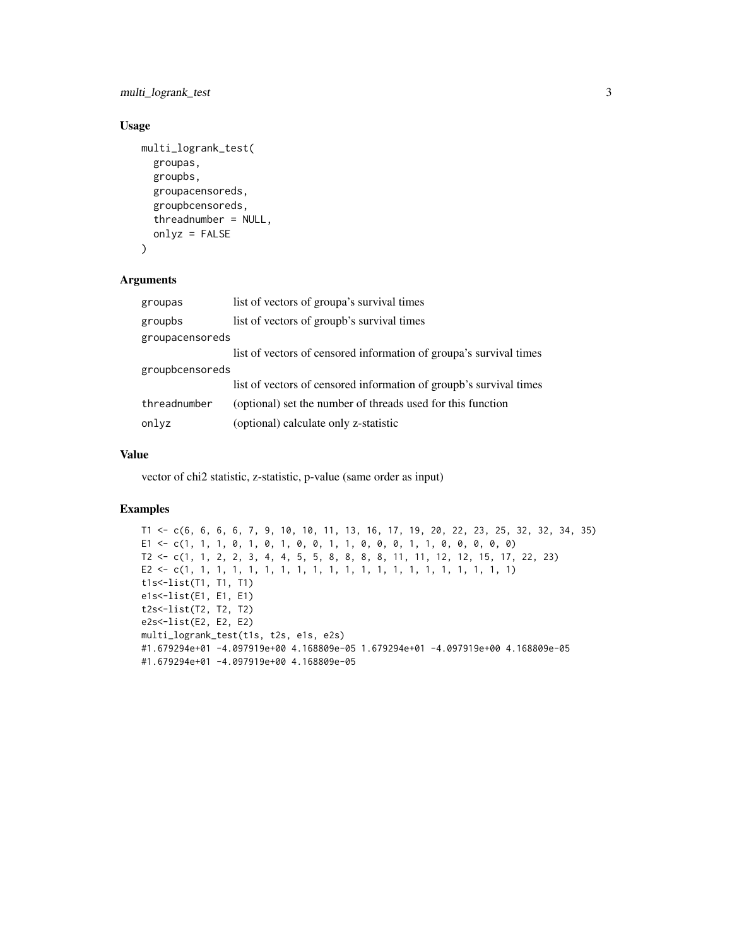multi\_logrank\_test 3

#### Usage

```
multi_logrank_test(
 groupas,
  groupbs,
  groupacensoreds,
  groupbcensoreds,
  threadnumber = NULL,
  onlyz = FALSE
)
```
#### Arguments

| groupas         | list of vectors of groupa's survival times                         |
|-----------------|--------------------------------------------------------------------|
| groupbs         | list of vectors of groupb's survival times                         |
| groupacensoreds |                                                                    |
|                 | list of vectors of censored information of groupa's survival times |
| groupbcensoreds |                                                                    |
|                 | list of vectors of censored information of groupb's survival times |
| threadnumber    | (optional) set the number of threads used for this function        |
| onlyz           | (optional) calculate only z-statistic                              |

#### Value

vector of chi2 statistic, z-statistic, p-value (same order as input)

#### Examples

```
T1 <- c(6, 6, 6, 6, 7, 9, 10, 10, 11, 13, 16, 17, 19, 20, 22, 23, 25, 32, 32, 34, 35)
E1 <- c(1, 1, 1, 0, 1, 0, 1, 0, 0, 1, 1, 0, 0, 0, 1, 1, 0, 0, 0, 0, 0)
T2 <- c(1, 1, 2, 2, 3, 4, 4, 5, 5, 8, 8, 8, 8, 11, 11, 12, 12, 15, 17, 22, 23)
E2 <- c(1, 1, 1, 1, 1, 1, 1, 1, 1, 1, 1, 1, 1, 1, 1, 1, 1, 1, 1, 1, 1)
t1s<-list(T1, T1, T1)
e1s<-list(E1, E1, E1)
t2s<-list(T2, T2, T2)
e2s<-list(E2, E2, E2)
multi_logrank_test(t1s, t2s, e1s, e2s)
#1.679294e+01 -4.097919e+00 4.168809e-05 1.679294e+01 -4.097919e+00 4.168809e-05
#1.679294e+01 -4.097919e+00 4.168809e-05
```